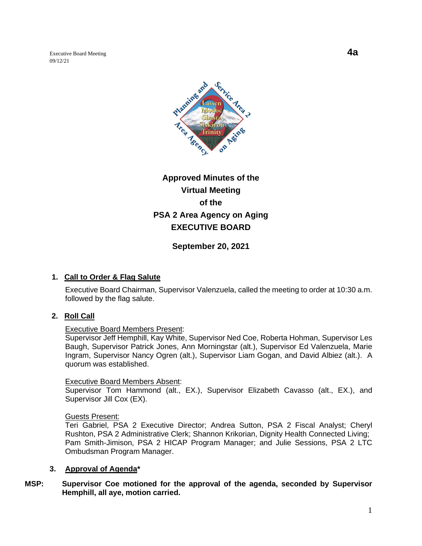Executive Board Meeting **4a** 09/12/21



# **Approved Minutes of the Virtual Meeting of the PSA 2 Area Agency on Aging EXECUTIVE BOARD**

**September 20, 2021**

# **1. Call to Order & Flag Salute**

Executive Board Chairman, Supervisor Valenzuela, called the meeting to order at 10:30 a.m. followed by the flag salute.

# **2. Roll Call**

#### Executive Board Members Present:

Supervisor Jeff Hemphill, Kay White, Supervisor Ned Coe, Roberta Hohman, Supervisor Les Baugh, Supervisor Patrick Jones, Ann Morningstar (alt.), Supervisor Ed Valenzuela, Marie Ingram, Supervisor Nancy Ogren (alt.), Supervisor Liam Gogan, and David Albiez (alt.). A quorum was established.

#### Executive Board Members Absent:

Supervisor Tom Hammond (alt., EX.), Supervisor Elizabeth Cavasso (alt., EX.), and Supervisor Jill Cox (EX).

Guests Present:

Teri Gabriel, PSA 2 Executive Director; Andrea Sutton, PSA 2 Fiscal Analyst; Cheryl Rushton, PSA 2 Administrative Clerk; Shannon Krikorian, Dignity Health Connected Living; Pam Smith-Jimison, PSA 2 HICAP Program Manager; and Julie Sessions, PSA 2 LTC Ombudsman Program Manager.

# **3. Approval of Agenda\***

# **MSP: Supervisor Coe motioned for the approval of the agenda, seconded by Supervisor Hemphill, all aye, motion carried.**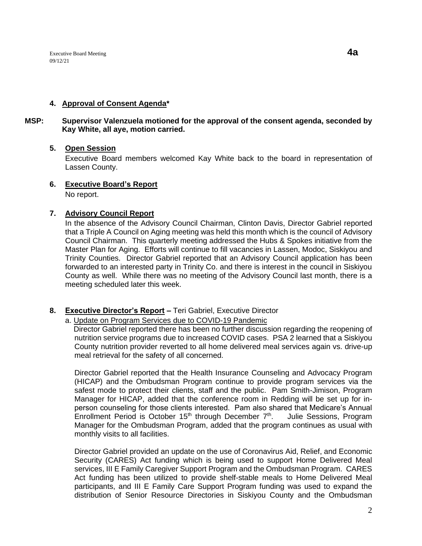#### **4. Approval of Consent Agenda\***

# **MSP: Supervisor Valenzuela motioned for the approval of the consent agenda, seconded by Kay White, all aye, motion carried.**

#### **5. Open Session**

Executive Board members welcomed Kay White back to the board in representation of Lassen County.

# **6. Executive Board's Report**

No report.

#### **7. Advisory Council Report**

In the absence of the Advisory Council Chairman, Clinton Davis, Director Gabriel reported that a Triple A Council on Aging meeting was held this month which is the council of Advisory Council Chairman. This quarterly meeting addressed the Hubs & Spokes initiative from the Master Plan for Aging. Efforts will continue to fill vacancies in Lassen, Modoc, Siskiyou and Trinity Counties. Director Gabriel reported that an Advisory Council application has been forwarded to an interested party in Trinity Co. and there is interest in the council in Siskiyou County as well. While there was no meeting of the Advisory Council last month, there is a meeting scheduled later this week.

#### **8. Executive Director's Report –** Teri Gabriel, Executive Director

#### a. Update on Program Services due to COVID-19 Pandemic

 Director Gabriel reported there has been no further discussion regarding the reopening of nutrition service programs due to increased COVID cases. PSA 2 learned that a Siskiyou County nutrition provider reverted to all home delivered meal services again vs. drive-up meal retrieval for the safety of all concerned.

Director Gabriel reported that the Health Insurance Counseling and Advocacy Program (HICAP) and the Ombudsman Program continue to provide program services via the safest mode to protect their clients, staff and the public. Pam Smith-Jimison, Program Manager for HICAP, added that the conference room in Redding will be set up for inperson counseling for those clients interested. Pam also shared that Medicare's Annual Enrollment Period is October 15<sup>th</sup> through December  $7<sup>th</sup>$ . Julie Sessions, Program Manager for the Ombudsman Program, added that the program continues as usual with monthly visits to all facilities.

Director Gabriel provided an update on the use of Coronavirus Aid, Relief, and Economic Security (CARES) Act funding which is being used to support Home Delivered Meal services, III E Family Caregiver Support Program and the Ombudsman Program. CARES Act funding has been utilized to provide shelf-stable meals to Home Delivered Meal participants, and III E Family Care Support Program funding was used to expand the distribution of Senior Resource Directories in Siskiyou County and the Ombudsman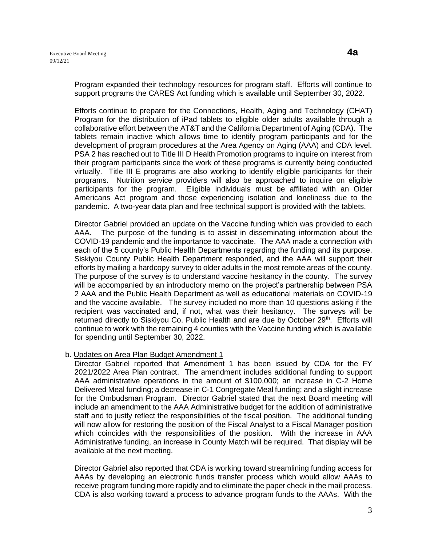Program expanded their technology resources for program staff. Efforts will continue to support programs the CARES Act funding which is available until September 30, 2022.

Efforts continue to prepare for the Connections, Health, Aging and Technology (CHAT) Program for the distribution of iPad tablets to eligible older adults available through a collaborative effort between the AT&T and the California Department of Aging (CDA). The tablets remain inactive which allows time to identify program participants and for the development of program procedures at the Area Agency on Aging (AAA) and CDA level. PSA 2 has reached out to Title III D Health Promotion programs to inquire on interest from their program participants since the work of these programs is currently being conducted virtually. Title III E programs are also working to identify eligible participants for their programs. Nutrition service providers will also be approached to inquire on eligible participants for the program. Eligible individuals must be affiliated with an Older Americans Act program and those experiencing isolation and loneliness due to the pandemic. A two-year data plan and free technical support is provided with the tablets.

Director Gabriel provided an update on the Vaccine funding which was provided to each AAA. The purpose of the funding is to assist in disseminating information about the COVID-19 pandemic and the importance to vaccinate. The AAA made a connection with each of the 5 county's Public Health Departments regarding the funding and its purpose. Siskiyou County Public Health Department responded, and the AAA will support their efforts by mailing a hardcopy survey to older adults in the most remote areas of the county. The purpose of the survey is to understand vaccine hesitancy in the county. The survey will be accompanied by an introductory memo on the project's partnership between PSA 2 AAA and the Public Health Department as well as educational materials on COVID-19 and the vaccine available. The survey included no more than 10 questions asking if the recipient was vaccinated and, if not, what was their hesitancy. The surveys will be returned directly to Siskiyou Co. Public Health and are due by October 29<sup>th</sup>. Efforts will continue to work with the remaining 4 counties with the Vaccine funding which is available for spending until September 30, 2022.

#### b. Updates on Area Plan Budget Amendment 1

Director Gabriel reported that Amendment 1 has been issued by CDA for the FY 2021/2022 Area Plan contract. The amendment includes additional funding to support AAA administrative operations in the amount of \$100,000; an increase in C-2 Home Delivered Meal funding; a decrease in C-1 Congregate Meal funding; and a slight increase for the Ombudsman Program. Director Gabriel stated that the next Board meeting will include an amendment to the AAA Administrative budget for the addition of administrative staff and to justly reflect the responsibilities of the fiscal position. The additional funding will now allow for restoring the position of the Fiscal Analyst to a Fiscal Manager position which coincides with the responsibilities of the position. With the increase in AAA Administrative funding, an increase in County Match will be required. That display will be available at the next meeting.

Director Gabriel also reported that CDA is working toward streamlining funding access for AAAs by developing an electronic funds transfer process which would allow AAAs to receive program funding more rapidly and to eliminate the paper check in the mail process. CDA is also working toward a process to advance program funds to the AAAs. With the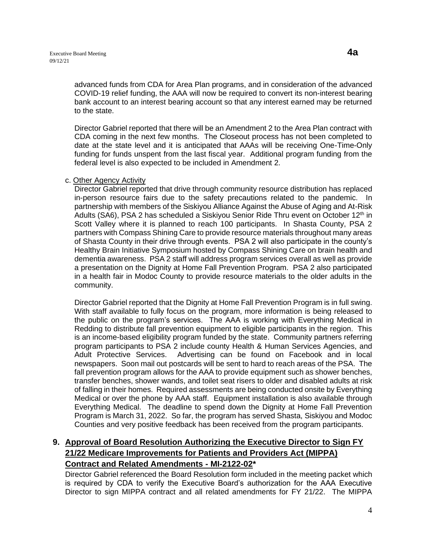advanced funds from CDA for Area Plan programs, and in consideration of the advanced COVID-19 relief funding, the AAA will now be required to convert its non-interest bearing bank account to an interest bearing account so that any interest earned may be returned to the state.

Director Gabriel reported that there will be an Amendment 2 to the Area Plan contract with CDA coming in the next few months. The Closeout process has not been completed to date at the state level and it is anticipated that AAAs will be receiving One-Time-Only funding for funds unspent from the last fiscal year. Additional program funding from the federal level is also expected to be included in Amendment 2.

c. Other Agency Activity

Director Gabriel reported that drive through community resource distribution has replaced in-person resource fairs due to the safety precautions related to the pandemic. In partnership with members of the Siskiyou Alliance Against the Abuse of Aging and At-Risk Adults (SA6), PSA 2 has scheduled a Siskiyou Senior Ride Thru event on October 12<sup>th</sup> in Scott Valley where it is planned to reach 100 participants. In Shasta County, PSA 2 partners with Compass Shining Care to provide resource materials throughout many areas of Shasta County in their drive through events. PSA 2 will also participate in the county's Healthy Brain Initiative Symposium hosted by Compass Shining Care on brain health and dementia awareness. PSA 2 staff will address program services overall as well as provide a presentation on the Dignity at Home Fall Prevention Program. PSA 2 also participated in a health fair in Modoc County to provide resource materials to the older adults in the community.

Director Gabriel reported that the Dignity at Home Fall Prevention Program is in full swing. With staff available to fully focus on the program, more information is being released to the public on the program's services. The AAA is working with Everything Medical in Redding to distribute fall prevention equipment to eligible participants in the region. This is an income-based eligibility program funded by the state. Community partners referring program participants to PSA 2 include county Health & Human Services Agencies, and Adult Protective Services. Advertising can be found on Facebook and in local newspapers. Soon mail out postcards will be sent to hard to reach areas of the PSA. The fall prevention program allows for the AAA to provide equipment such as shower benches, transfer benches, shower wands, and toilet seat risers to older and disabled adults at risk of falling in their homes. Required assessments are being conducted onsite by Everything Medical or over the phone by AAA staff. Equipment installation is also available through Everything Medical. The deadline to spend down the Dignity at Home Fall Prevention Program is March 31, 2022. So far, the program has served Shasta, Siskiyou and Modoc Counties and very positive feedback has been received from the program participants.

# **9. Approval of Board Resolution Authorizing the Executive Director to Sign FY 21/22 Medicare Improvements for Patients and Providers Act (MIPPA) Contract and Related Amendments - MI-2122-02\***

Director Gabriel referenced the Board Resolution form included in the meeting packet which is required by CDA to verify the Executive Board's authorization for the AAA Executive Director to sign MIPPA contract and all related amendments for FY 21/22. The MIPPA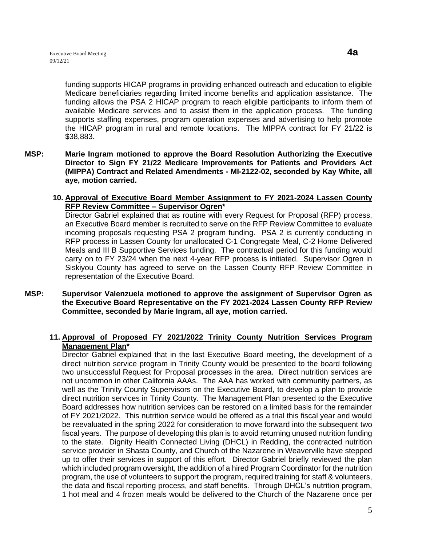funding supports HICAP programs in providing enhanced outreach and education to eligible Medicare beneficiaries regarding limited income benefits and application assistance. The funding allows the PSA 2 HICAP program to reach eligible participants to inform them of available Medicare services and to assist them in the application process. The funding supports staffing expenses, program operation expenses and advertising to help promote the HICAP program in rural and remote locations. The MIPPA contract for FY 21/22 is \$38,883.

**MSP: Marie Ingram motioned to approve the Board Resolution Authorizing the Executive Director to Sign FY 21/22 Medicare Improvements for Patients and Providers Act (MIPPA) Contract and Related Amendments - MI-2122-02, seconded by Kay White, all aye, motion carried.** 

# **10. Approval of Executive Board Member Assignment to FY 2021-2024 Lassen County RFP Review Committee – Supervisor Ogren\***

Director Gabriel explained that as routine with every Request for Proposal (RFP) process, an Executive Board member is recruited to serve on the RFP Review Committee to evaluate incoming proposals requesting PSA 2 program funding. PSA 2 is currently conducting in RFP process in Lassen County for unallocated C-1 Congregate Meal, C-2 Home Delivered Meals and III B Supportive Services funding. The contractual period for this funding would carry on to FY 23/24 when the next 4-year RFP process is initiated. Supervisor Ogren in Siskiyou County has agreed to serve on the Lassen County RFP Review Committee in representation of the Executive Board.

**MSP: Supervisor Valenzuela motioned to approve the assignment of Supervisor Ogren as the Executive Board Representative on the FY 2021-2024 Lassen County RFP Review Committee, seconded by Marie Ingram, all aye, motion carried.** 

# **11. Approval of Proposed FY 2021/2022 Trinity County Nutrition Services Program Management Plan\***

Director Gabriel explained that in the last Executive Board meeting, the development of a direct nutrition service program in Trinity County would be presented to the board following two unsuccessful Request for Proposal processes in the area. Direct nutrition services are not uncommon in other California AAAs. The AAA has worked with community partners, as well as the Trinity County Supervisors on the Executive Board, to develop a plan to provide direct nutrition services in Trinity County. The Management Plan presented to the Executive Board addresses how nutrition services can be restored on a limited basis for the remainder of FY 2021/2022. This nutrition service would be offered as a trial this fiscal year and would be reevaluated in the spring 2022 for consideration to move forward into the subsequent two fiscal years. The purpose of developing this plan is to avoid returning unused nutrition funding to the state. Dignity Health Connected Living (DHCL) in Redding, the contracted nutrition service provider in Shasta County, and Church of the Nazarene in Weaverville have stepped up to offer their services in support of this effort. Director Gabriel briefly reviewed the plan which included program oversight, the addition of a hired Program Coordinator for the nutrition program, the use of volunteers to support the program, required training for staff & volunteers, the data and fiscal reporting process, and staff benefits. Through DHCL's nutrition program, 1 hot meal and 4 frozen meals would be delivered to the Church of the Nazarene once per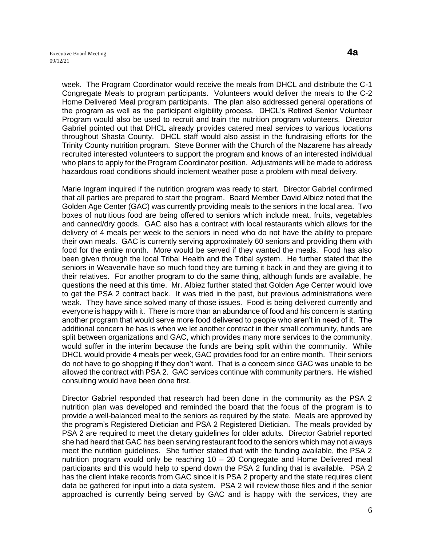week. The Program Coordinator would receive the meals from DHCL and distribute the C-1 Congregate Meals to program participants. Volunteers would deliver the meals to the C-2 Home Delivered Meal program participants. The plan also addressed general operations of the program as well as the participant eligibility process. DHCL's Retired Senior Volunteer Program would also be used to recruit and train the nutrition program volunteers. Director Gabriel pointed out that DHCL already provides catered meal services to various locations throughout Shasta County. DHCL staff would also assist in the fundraising efforts for the Trinity County nutrition program. Steve Bonner with the Church of the Nazarene has already recruited interested volunteers to support the program and knows of an interested individual who plans to apply for the Program Coordinator position. Adjustments will be made to address hazardous road conditions should inclement weather pose a problem with meal delivery.

Marie Ingram inquired if the nutrition program was ready to start. Director Gabriel confirmed that all parties are prepared to start the program. Board Member David Albiez noted that the Golden Age Center (GAC) was currently providing meals to the seniors in the local area. Two boxes of nutritious food are being offered to seniors which include meat, fruits, vegetables and canned/dry goods. GAC also has a contract with local restaurants which allows for the delivery of 4 meals per week to the seniors in need who do not have the ability to prepare their own meals. GAC is currently serving approximately 60 seniors and providing them with food for the entire month. More would be served if they wanted the meals. Food has also been given through the local Tribal Health and the Tribal system. He further stated that the seniors in Weaverville have so much food they are turning it back in and they are giving it to their relatives. For another program to do the same thing, although funds are available, he questions the need at this time. Mr. Albiez further stated that Golden Age Center would love to get the PSA 2 contract back. It was tried in the past, but previous administrations were weak. They have since solved many of those issues. Food is being delivered currently and everyone is happy with it. There is more than an abundance of food and his concern is starting another program that would serve more food delivered to people who aren't in need of it. The additional concern he has is when we let another contract in their small community, funds are split between organizations and GAC, which provides many more services to the community, would suffer in the interim because the funds are being split within the community. While DHCL would provide 4 meals per week, GAC provides food for an entire month. Their seniors do not have to go shopping if they don't want. That is a concern since GAC was unable to be allowed the contract with PSA 2. GAC services continue with community partners. He wished consulting would have been done first.

Director Gabriel responded that research had been done in the community as the PSA 2 nutrition plan was developed and reminded the board that the focus of the program is to provide a well-balanced meal to the seniors as required by the state. Meals are approved by the program's Registered Dietician and PSA 2 Registered Dietician. The meals provided by PSA 2 are required to meet the dietary guidelines for older adults. Director Gabriel reported she had heard that GAC has been serving restaurant food to the seniors which may not always meet the nutrition guidelines. She further stated that with the funding available, the PSA 2 nutrition program would only be reaching 10 – 20 Congregate and Home Delivered meal participants and this would help to spend down the PSA 2 funding that is available. PSA 2 has the client intake records from GAC since it is PSA 2 property and the state requires client data be gathered for input into a data system. PSA 2 will review those files and if the senior approached is currently being served by GAC and is happy with the services, they are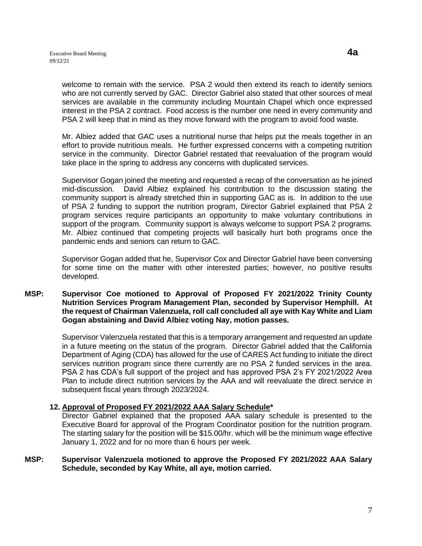welcome to remain with the service. PSA 2 would then extend its reach to identify seniors who are not currently served by GAC. Director Gabriel also stated that other sources of meal services are available in the community including Mountain Chapel which once expressed interest in the PSA 2 contract. Food access is the number one need in every community and

Mr. Albiez added that GAC uses a nutritional nurse that helps put the meals together in an effort to provide nutritious meals. He further expressed concerns with a competing nutrition service in the community. Director Gabriel restated that reevaluation of the program would take place in the spring to address any concerns with duplicated services.

PSA 2 will keep that in mind as they move forward with the program to avoid food waste.

Supervisor Gogan joined the meeting and requested a recap of the conversation as he joined mid-discussion. David Albiez explained his contribution to the discussion stating the community support is already stretched thin in supporting GAC as is. In addition to the use of PSA 2 funding to support the nutrition program, Director Gabriel explained that PSA 2 program services require participants an opportunity to make voluntary contributions in support of the program. Community support is always welcome to support PSA 2 programs. Mr. Albiez continued that competing projects will basically hurt both programs once the pandemic ends and seniors can return to GAC.

Supervisor Gogan added that he, Supervisor Cox and Director Gabriel have been conversing for some time on the matter with other interested parties; however, no positive results developed.

# **MSP: Supervisor Coe motioned to Approval of Proposed FY 2021/2022 Trinity County Nutrition Services Program Management Plan, seconded by Supervisor Hemphill. At the request of Chairman Valenzuela, roll call concluded all aye with Kay White and Liam Gogan abstaining and David Albiez voting Nay, motion passes.**

Supervisor Valenzuela restated that this is a temporary arrangement and requested an update in a future meeting on the status of the program. Director Gabriel added that the California Department of Aging (CDA) has allowed for the use of CARES Act funding to initiate the direct services nutrition program since there currently are no PSA 2 funded services in the area. PSA 2 has CDA's full support of the project and has approved PSA 2's FY 2021/2022 Area Plan to include direct nutrition services by the AAA and will reevaluate the direct service in subsequent fiscal years through 2023/2024.

# **12. Approval of Proposed FY 2021/2022 AAA Salary Schedule\***

Director Gabriel explained that the proposed AAA salary schedule is presented to the Executive Board for approval of the Program Coordinator position for the nutrition program. The starting salary for the position will be \$15.00/hr. which will be the minimum wage effective January 1, 2022 and for no more than 6 hours per week.

#### **MSP: Supervisor Valenzuela motioned to approve the Proposed FY 2021/2022 AAA Salary Schedule, seconded by Kay White, all aye, motion carried.**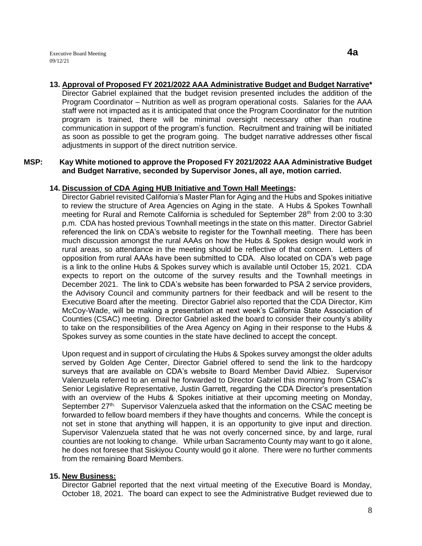**13. Approval of Proposed FY 2021/2022 AAA Administrative Budget and Budget Narrative\*** Director Gabriel explained that the budget revision presented includes the addition of the Program Coordinator – Nutrition as well as program operational costs. Salaries for the AAA staff were not impacted as it is anticipated that once the Program Coordinator for the nutrition program is trained, there will be minimal oversight necessary other than routine communication in support of the program's function. Recruitment and training will be initiated as soon as possible to get the program going. The budget narrative addresses other fiscal adjustments in support of the direct nutrition service.

### **MSP: Kay White motioned to approve the Proposed FY 2021/2022 AAA Administrative Budget and Budget Narrative, seconded by Supervisor Jones, all aye, motion carried.**

# **14. Discussion of CDA Aging HUB Initiative and Town Hall Meetings:**

Director Gabriel revisited California's Master Plan for Aging and the Hubs and Spokes initiative to review the structure of Area Agencies on Aging in the state. A Hubs & Spokes Townhall meeting for Rural and Remote California is scheduled for September  $28<sup>th</sup>$  from 2:00 to 3:30 p.m. CDA has hosted previous Townhall meetings in the state on this matter. Director Gabriel referenced the link on CDA's website to register for the Townhall meeting. There has been much discussion amongst the rural AAAs on how the Hubs & Spokes design would work in rural areas, so attendance in the meeting should be reflective of that concern. Letters of opposition from rural AAAs have been submitted to CDA. Also located on CDA's web page is a link to the online Hubs & Spokes survey which is available until October 15, 2021. CDA expects to report on the outcome of the survey results and the Townhall meetings in December 2021. The link to CDA's website has been forwarded to PSA 2 service providers, the Advisory Council and community partners for their feedback and will be resent to the Executive Board after the meeting. Director Gabriel also reported that the CDA Director, Kim McCoy-Wade, will be making a presentation at next week's California State Association of Counties (CSAC) meeting. Director Gabriel asked the board to consider their county's ability to take on the responsibilities of the Area Agency on Aging in their response to the Hubs & Spokes survey as some counties in the state have declined to accept the concept.

Upon request and in support of circulating the Hubs & Spokes survey amongst the older adults served by Golden Age Center, Director Gabriel offered to send the link to the hardcopy surveys that are available on CDA's website to Board Member David Albiez. Supervisor Valenzuela referred to an email he forwarded to Director Gabriel this morning from CSAC's Senior Legislative Representative, Justin Garrett, regarding the CDA Director's presentation with an overview of the Hubs & Spokes initiative at their upcoming meeting on Monday, September 27<sup>th.</sup> Supervisor Valenzuela asked that the information on the CSAC meeting be forwarded to fellow board members if they have thoughts and concerns. While the concept is not set in stone that anything will happen, it is an opportunity to give input and direction. Supervisor Valenzuela stated that he was not overly concerned since, by and large, rural counties are not looking to change. While urban Sacramento County may want to go it alone, he does not foresee that Siskiyou County would go it alone. There were no further comments from the remaining Board Members.

#### **15. New Business:**

Director Gabriel reported that the next virtual meeting of the Executive Board is Monday, October 18, 2021. The board can expect to see the Administrative Budget reviewed due to